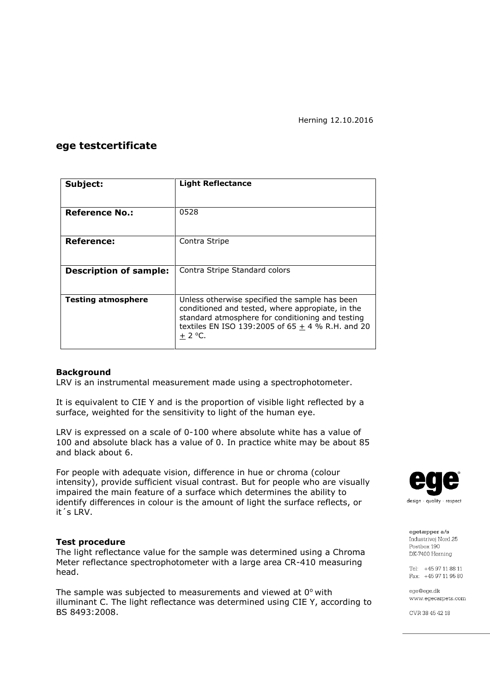## **ege testcertificate**

| Subject:                      | <b>Light Reflectance</b>                                                                                                                                                                                                   |  |  |
|-------------------------------|----------------------------------------------------------------------------------------------------------------------------------------------------------------------------------------------------------------------------|--|--|
|                               |                                                                                                                                                                                                                            |  |  |
| <b>Reference No.:</b>         | 0528                                                                                                                                                                                                                       |  |  |
|                               |                                                                                                                                                                                                                            |  |  |
| Reference:                    | Contra Stripe                                                                                                                                                                                                              |  |  |
|                               |                                                                                                                                                                                                                            |  |  |
| <b>Description of sample:</b> | Contra Stripe Standard colors                                                                                                                                                                                              |  |  |
|                               |                                                                                                                                                                                                                            |  |  |
| <b>Testing atmosphere</b>     | Unless otherwise specified the sample has been<br>conditioned and tested, where appropiate, in the<br>standard atmosphere for conditioning and testing<br>textiles EN ISO 139:2005 of 65 $\pm$ 4 % R.H. and 20<br>$+2$ °C. |  |  |

#### **Background**

LRV is an instrumental measurement made using a spectrophotometer.

It is equivalent to CIE Y and is the proportion of visible light reflected by a surface, weighted for the sensitivity to light of the human eye.

LRV is expressed on a scale of 0-100 where absolute white has a value of 100 and absolute black has a value of 0. In practice white may be about 85 and black about 6.

For people with adequate vision, difference in hue or chroma (colour intensity), provide sufficient visual contrast. But for people who are visually impaired the main feature of a surface which determines the ability to identify differences in colour is the amount of light the surface reflects, or it´s LRV.

#### **Test procedure**

The light reflectance value for the sample was determined using a Chroma Meter reflectance spectrophotometer with a large area CR-410 measuring head.

The sample was subjected to measurements and viewed at  $0^{\circ}$  with illuminant C. The light reflectance was determined using CIE Y, according to BS 8493:2008.



egetæpper a/s Industrivei Nord 25 Postbox 190 DK-7400 Herning

Tel: +45 97 11 88 11 Fax: +45 97 11 95 80

ege@ege.dk www.egecarpets.com

CVR 38 45 42 18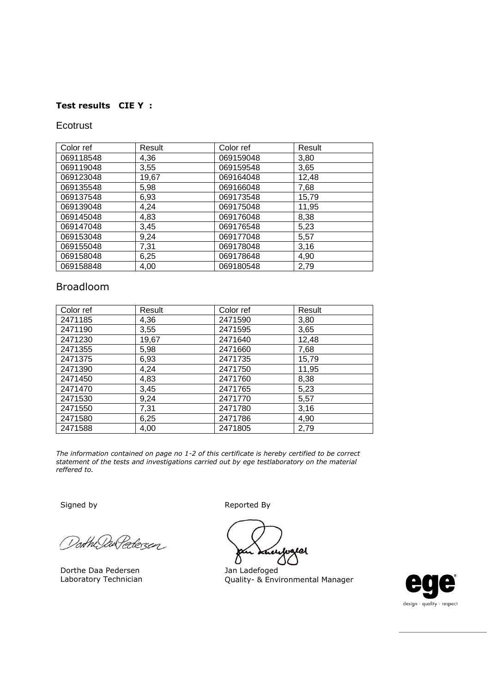# **Test results CIE Y :**

## Ecotrust

| Color ref | Result | Color ref | Result |
|-----------|--------|-----------|--------|
| 069118548 | 4,36   | 069159048 | 3,80   |
| 069119048 | 3,55   | 069159548 | 3,65   |
| 069123048 | 19,67  | 069164048 | 12,48  |
| 069135548 | 5,98   | 069166048 | 7,68   |
| 069137548 | 6,93   | 069173548 | 15,79  |
| 069139048 | 4,24   | 069175048 | 11,95  |
| 069145048 | 4,83   | 069176048 | 8,38   |
| 069147048 | 3,45   | 069176548 | 5,23   |
| 069153048 | 9,24   | 069177048 | 5,57   |
| 069155048 | 7,31   | 069178048 | 3,16   |
| 069158048 | 6,25   | 069178648 | 4,90   |
| 069158848 | 4,00   | 069180548 | 2,79   |

# Broadloom

| Color ref | Result | Color ref | Result |
|-----------|--------|-----------|--------|
| 2471185   | 4,36   | 2471590   | 3,80   |
| 2471190   | 3,55   | 2471595   | 3,65   |
| 2471230   | 19,67  | 2471640   | 12,48  |
| 2471355   | 5,98   | 2471660   | 7,68   |
| 2471375   | 6,93   | 2471735   | 15,79  |
| 2471390   | 4,24   | 2471750   | 11,95  |
| 2471450   | 4,83   | 2471760   | 8,38   |
| 2471470   | 3,45   | 2471765   | 5,23   |
| 2471530   | 9,24   | 2471770   | 5,57   |
| 2471550   | 7,31   | 2471780   | 3,16   |
| 2471580   | 6,25   | 2471786   | 4,90   |
| 2471588   | 4,00   | 2471805   | 2,79   |

*The information contained on page no 1-2 of this certificate is hereby certified to be correct statement of the tests and investigations carried out by ege testlaboratory on the material reffered to.*

Dorth DarPedezen

Dorthe Daa Pedersen Laboratory Technician

Signed by **Reported By** 

બ  $\Gamma$ 

Jan Ladefoged Quality- & Environmental Manager